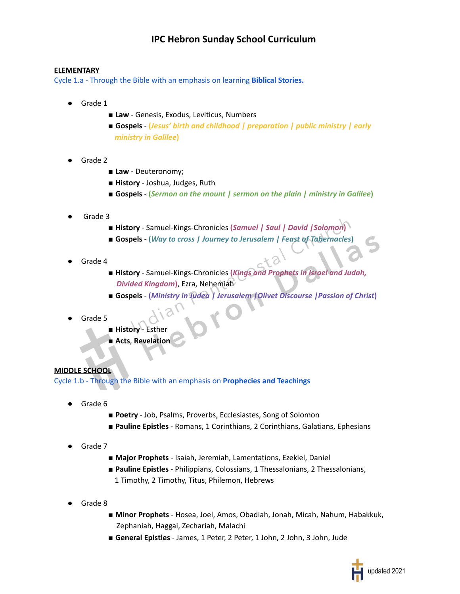## **IPC Hebron Sunday School Curriculum**

## **ELEMENTARY**

Cycle 1.a - Through the Bible with an emphasis on learning **Biblical Stories.**

- Grade 1
	- Law Genesis, Exodus, Leviticus, Numbers
	- **Gospels (***Jesus' birth and childhood | preparation | public ministry | early ministry in Galilee***)**
- Grade 2
	- Law Deuteronomy;
	- **History** Joshua, Judges, Ruth
	- **Gospels**  $-$  (*Sermon on the mount | sermon on the plain | ministry in Galilee*)
- Grade 3
	- **History** Samuel-Kings-Chronicles **(***Samuel | Saul | David |Solomon***)**
	- **Gospels (***Way to cross | Journey to Jerusalem | Feast of Tabernacles***)**
- Grade 4
	- **History** Samuel-Kings-Chronicles **(***Kings and Prophets in Israel and Judah, Divided Kingdom***)**, Ezra, Nehemiah
	- **Gospels (***Ministry in Judea | Jerusalem |Olivet Discourse |Passion of Christ***)**
- Grade 5
	- **History** Esther
		- **Acts**, **Revelation**

## **MIDDLE SCHOOL**

Cycle 1.b - Through the Bible with an emphasis on **Prophecies and Teachings**

- Grade 6
	- **Poetry** Job, Psalms, Proverbs, Ecclesiastes, Song of Solomon
	- **Pauline Epistles** Romans, 1 Corinthians, 2 Corinthians, Galatians, Ephesians
- Grade 7
	- **Major Prophets** Isaiah, Jeremiah, Lamentations, Ezekiel, Daniel
	- **Pauline Epistles** Philippians, Colossians, 1 Thessalonians, 2 Thessalonians, 1 Timothy, 2 Timothy, Titus, Philemon, Hebrews
- Grade 8
	- **Minor Prophets** Hosea, Joel, Amos, Obadiah, Jonah, Micah, Nahum, Habakkuk, Zephaniah, Haggai, Zechariah, Malachi
	- General Epistles James, 1 Peter, 2 Peter, 1 John, 2 John, 3 John, Jude